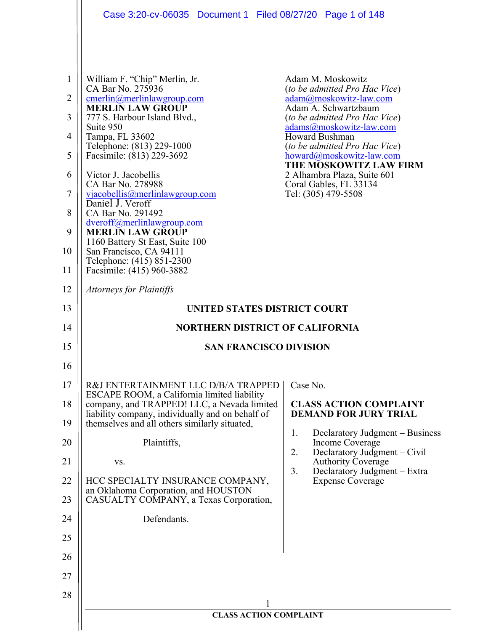|                                                       | Case 3:20-cv-06035 Document 1 Filed 08/27/20 Page 1 of 148                                                                                                                                                                                                                                                                                                                                                                                                                                                                                     |                                                                                                                                                                                                                                                                                                                                                                         |  |
|-------------------------------------------------------|------------------------------------------------------------------------------------------------------------------------------------------------------------------------------------------------------------------------------------------------------------------------------------------------------------------------------------------------------------------------------------------------------------------------------------------------------------------------------------------------------------------------------------------------|-------------------------------------------------------------------------------------------------------------------------------------------------------------------------------------------------------------------------------------------------------------------------------------------------------------------------------------------------------------------------|--|
| 1<br>2<br>3<br>4<br>5<br>6<br>7<br>8<br>9<br>10<br>11 | William F. "Chip" Merlin, Jr.<br>CA Bar No. 275936<br>cmerlin@merlinlawgroup.com<br><b>MERLIN LAW GROUP</b><br>777 S. Harbour Island Blvd.,<br>Suite 950<br>Tampa, FL 33602<br>Telephone: (813) 229-1000<br>Facsimile: (813) 229-3692<br>Victor J. Jacobellis<br>CA Bar No. 278988<br>vjacobellis@merlinlawgroup.com<br>Daniel J. Veroff<br>CA Bar No. 291492<br>dveroff@merlinlawgroup.com<br><b>MERLIN LAW GROUP</b><br>1160 Battery St East, Suite 100<br>San Francisco, CA 94111<br>Telephone: (415) 851-2300<br>Facsimile: (415) 960-3882 | Adam M. Moskowitz<br>(to be admitted Pro Hac Vice)<br>adam@moskowitz-law.com<br>Adam A. Schwartzbaum<br><i>(to be admitted Pro Hac Vice)</i><br>adams@moskowitz-law.com<br><b>Howard Bushman</b><br>(to be admitted Pro Hac Vice)<br>howard@moskowitz-law.com<br>THE MOSKOWITZ LAW FIRM<br>2 Alhambra Plaza, Suite 601<br>Coral Gables, FL 33134<br>Tel: (305) 479-5508 |  |
| 12                                                    | <b>Attorneys for Plaintiffs</b>                                                                                                                                                                                                                                                                                                                                                                                                                                                                                                                |                                                                                                                                                                                                                                                                                                                                                                         |  |
| 13                                                    | UNITED STATES DISTRICT COURT                                                                                                                                                                                                                                                                                                                                                                                                                                                                                                                   |                                                                                                                                                                                                                                                                                                                                                                         |  |
| 14                                                    | <b>NORTHERN DISTRICT OF CALIFORNIA</b>                                                                                                                                                                                                                                                                                                                                                                                                                                                                                                         |                                                                                                                                                                                                                                                                                                                                                                         |  |
| 15                                                    | <b>SAN FRANCISCO DIVISION</b>                                                                                                                                                                                                                                                                                                                                                                                                                                                                                                                  |                                                                                                                                                                                                                                                                                                                                                                         |  |
| 16                                                    |                                                                                                                                                                                                                                                                                                                                                                                                                                                                                                                                                |                                                                                                                                                                                                                                                                                                                                                                         |  |
| 17                                                    | R&J ENTERTAINMENT LLC D/B/A TRAPPED<br>ESCAPE ROOM, a California limited liability                                                                                                                                                                                                                                                                                                                                                                                                                                                             | Case No.                                                                                                                                                                                                                                                                                                                                                                |  |
| 18<br>19                                              | company, and TRAPPED! LLC, a Nevada limited<br>liability company, individually and on behalf of<br>themselves and all others similarly situated,                                                                                                                                                                                                                                                                                                                                                                                               | <b>CLASS ACTION COMPLAINT</b><br><b>DEMAND FOR JURY TRIAL</b>                                                                                                                                                                                                                                                                                                           |  |
| 20                                                    | Plaintiffs,                                                                                                                                                                                                                                                                                                                                                                                                                                                                                                                                    | Declaratory Judgment – Business<br>1.<br>Income Coverage                                                                                                                                                                                                                                                                                                                |  |
| 21                                                    | VS.                                                                                                                                                                                                                                                                                                                                                                                                                                                                                                                                            | Declaratory Judgment – Civil<br>2.<br><b>Authority Coverage</b>                                                                                                                                                                                                                                                                                                         |  |
| 22                                                    | HCC SPECIALTY INSURANCE COMPANY,                                                                                                                                                                                                                                                                                                                                                                                                                                                                                                               | 3.<br>Declaratory Judgment - Extra<br><b>Expense Coverage</b>                                                                                                                                                                                                                                                                                                           |  |
| 23                                                    | an Oklahoma Corporation, and HOUSTON<br>CASUALTY COMPANY, a Texas Corporation,                                                                                                                                                                                                                                                                                                                                                                                                                                                                 |                                                                                                                                                                                                                                                                                                                                                                         |  |
| 24                                                    | Defendants.                                                                                                                                                                                                                                                                                                                                                                                                                                                                                                                                    |                                                                                                                                                                                                                                                                                                                                                                         |  |
| 25                                                    |                                                                                                                                                                                                                                                                                                                                                                                                                                                                                                                                                |                                                                                                                                                                                                                                                                                                                                                                         |  |
| 26                                                    |                                                                                                                                                                                                                                                                                                                                                                                                                                                                                                                                                |                                                                                                                                                                                                                                                                                                                                                                         |  |
| 27                                                    |                                                                                                                                                                                                                                                                                                                                                                                                                                                                                                                                                |                                                                                                                                                                                                                                                                                                                                                                         |  |
| 28                                                    |                                                                                                                                                                                                                                                                                                                                                                                                                                                                                                                                                |                                                                                                                                                                                                                                                                                                                                                                         |  |
|                                                       | <b>CLASS ACTION COMPLAINT</b>                                                                                                                                                                                                                                                                                                                                                                                                                                                                                                                  |                                                                                                                                                                                                                                                                                                                                                                         |  |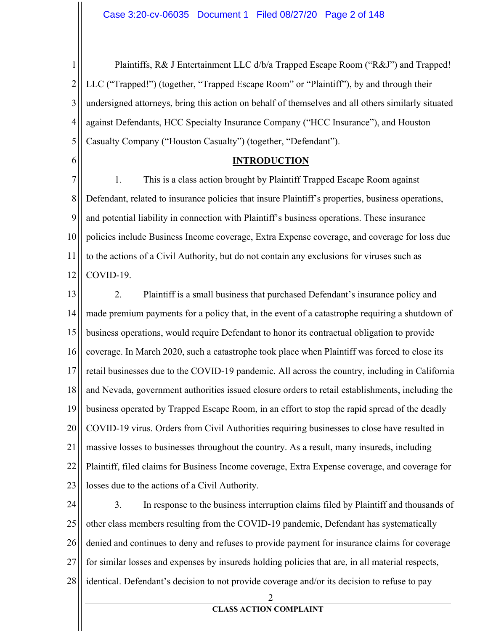$\mathbf{1}$ Plaintiffs, R& J Entertainment LLC d/b/a Trapped Escape Room ("R&J") and Trapped!  $\overline{2}$ LLC ("Trapped!") (together, "Trapped Escape Room" or "Plaintiff"), by and through their 3 undersigned attorneys, bring this action on behalf of themselves and all others similarly situated 4 against Defendants, HCC Specialty Insurance Company ("HCC Insurance"), and Houston 5 Casualty Company ("Houston Casualty") (together, "Defendant").

#### **INTRODUCTION**

6

7 1. This is a class action brought by Plaintiff Trapped Escape Room against 8 Defendant, related to insurance policies that insure Plaintiff's properties, business operations, 9 and potential liability in connection with Plaintiff's business operations. These insurance 10 policies include Business Income coverage, Extra Expense coverage, and coverage for loss due 11 to the actions of a Civil Authority, but do not contain any exclusions for viruses such as 12 COVID-19.

 $2.$ 13 Plaintiff is a small business that purchased Defendant's insurance policy and 14 made premium payments for a policy that, in the event of a catastrophe requiring a shutdown of 15 business operations, would require Defendant to honor its contractual obligation to provide 16 coverage. In March 2020, such a catastrophe took place when Plaintiff was forced to close its 17 retail businesses due to the COVID-19 pandemic. All across the country, including in California 18 and Nevada, government authorities issued closure orders to retail establishments, including the 19 business operated by Trapped Escape Room, in an effort to stop the rapid spread of the deadly 20 COVID-19 virus. Orders from Civil Authorities requiring businesses to close have resulted in 21 massive losses to businesses throughout the country. As a result, many insureds, including 22 Plaintiff, filed claims for Business Income coverage, Extra Expense coverage, and coverage for 23 losses due to the actions of a Civil Authority.

24  $3.$ In response to the business interruption claims filed by Plaintiff and thousands of 25 other class members resulting from the COVID-19 pandemic, Defendant has systematically 26 denied and continues to deny and refuses to provide payment for insurance claims for coverage 27 for similar losses and expenses by insureds holding policies that are, in all material respects, 28 identical. Defendant's decision to not provide coverage and/or its decision to refuse to pay

2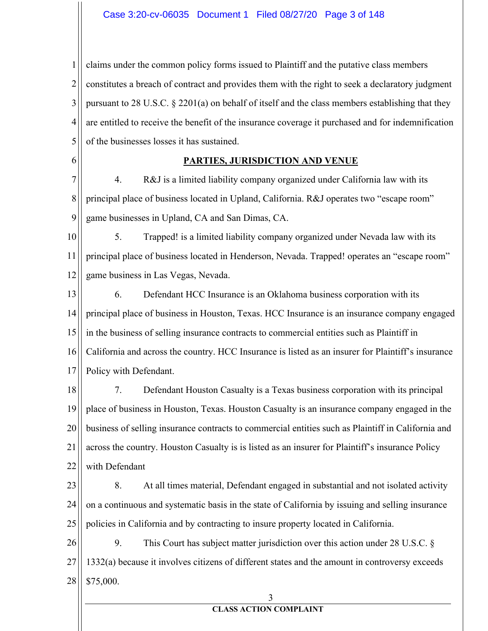$\mathbf{1}$  $\overline{2}$ 3 4 5 claims under the common policy forms issued to Plaintiff and the putative class members constitutes a breach of contract and provides them with the right to seek a declaratory judgment pursuant to 28 U.S.C.  $\S$  2201(a) on behalf of itself and the class members establishing that they are entitled to receive the benefit of the insurance coverage it purchased and for indemnification of the businesses losses it has sustained.

6

#### **PARTIES, JURISDICTION AND VENUE**

7 8 9 4. R&J is a limited liability company organized under California law with its principal place of business located in Upland, California. R&J operates two "escape room" game businesses in Upland, CA and San Dimas, CA.

10 11 12 5. Trapped! is a limited liability company organized under Nevada law with its principal place of business located in Henderson, Nevada. Trapped! operates an "escape room" game business in Las Vegas, Nevada.

13 14 15 16 17 6. Defendant HCC Insurance is an Oklahoma business corporation with its principal place of business in Houston, Texas. HCC Insurance is an insurance company engaged in the business of selling insurance contracts to commercial entities such as Plaintiff in California and across the country. HCC Insurance is listed as an insurer for Plaintiff's insurance Policy with Defendant.

18 19 20 21 22 7. Defendant Houston Casualty is a Texas business corporation with its principal place of business in Houston, Texas. Houston Casualty is an insurance company engaged in the business of selling insurance contracts to commercial entities such as Plaintiff in California and across the country. Houston Casualty is is listed as an insurer for Plaintiff's insurance Policy with Defendant

23 24 25 8. At all times material, Defendant engaged in substantial and not isolated activity on a continuous and systematic basis in the state of California by issuing and selling insurance policies in California and by contracting to insure property located in California.

26 27 28 9. This Court has subject matter jurisdiction over this action under 28 U.S.C.  $\S$ 1332(a) because it involves citizens of different states and the amount in controversy exceeds \$75,000.

#### 3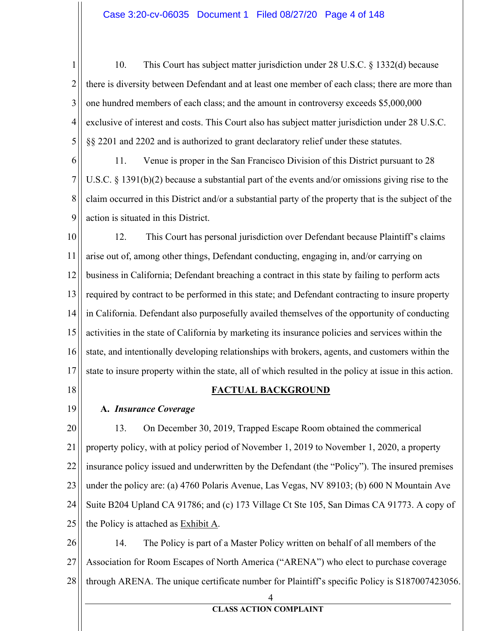$\mathbf{1}$ 10. This Court has subject matter jurisdiction under 28 U.S.C. § 1332(d) because  $\overline{2}$ there is diversity between Defendant and at least one member of each class; there are more than 3 one hundred members of each class; and the amount in controversy exceeds \$5,000,000 4 exclusive of interest and costs. This Court also has subject matter jurisdiction under 28 U.S.C. 5 §§ 2201 and 2202 and is authorized to grant declaratory relief under these statutes.

6 11. Venue is proper in the San Francisco Division of this District pursuant to 28 7 U.S.C.  $\S$  1391(b)(2) because a substantial part of the events and/or omissions giving rise to the 8 claim occurred in this District and/or a substantial party of the property that is the subject of the 9 action is situated in this District.

10 12. This Court has personal jurisdiction over Defendant because Plaintiff's claims 11 arise out of, among other things, Defendant conducting, engaging in, and/or carrying on 12 business in California; Defendant breaching a contract in this state by failing to perform acts required by contract to be performed in this state; and Defendant contracting to insure property 13 14 in California. Defendant also purposefully availed themselves of the opportunity of conducting 15 activities in the state of California by marketing its insurance policies and services within the 16 state, and intentionally developing relationships with brokers, agents, and customers within the 17 state to insure property within the state, all of which resulted in the policy at issue in this action.

18

# **FACTUAL BACKGROUND**

19

# A. Insurance Coverage

20 13. On December 30, 2019, Trapped Escape Room obtained the commerical property policy, with at policy period of November 1, 2019 to November 1, 2020, a property 21 22 insurance policy issued and underwritten by the Defendant (the "Policy"). The insured premises 23 under the policy are: (a) 4760 Polaris Avenue, Las Vegas, NV 89103; (b) 600 N Mountain Ave 24 Suite B204 Upland CA 91786; and (c) 173 Village Ct Ste 105, San Dimas CA 91773. A copy of the Policy is attached as Exhibit A. 25

26 14. The Policy is part of a Master Policy written on behalf of all members of the 27 Association for Room Escapes of North America ("ARENA") who elect to purchase coverage 28 through ARENA. The unique certificate number for Plaintiff's specific Policy is S187007423056.

4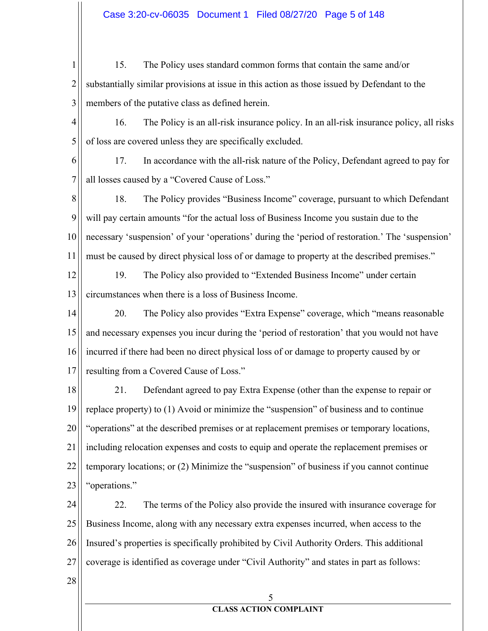### Case 3:20-cv-06035 Document 1 Filed 08/27/20 Page 5 of 148

 $\mathbf{1}$ 15. The Policy uses standard common forms that contain the same and/or  $\overline{2}$ substantially similar provisions at issue in this action as those issued by Defendant to the 3 members of the putative class as defined herein.

4 16. The Policy is an all-risk insurance policy. In an all-risk insurance policy, all risks 5 of loss are covered unless they are specifically excluded.

17. In accordance with the all-risk nature of the Policy, Defendant agreed to pay for 6 7 all losses caused by a "Covered Cause of Loss."

8 18. The Policy provides "Business Income" coverage, pursuant to which Defendant 9 will pay certain amounts "for the actual loss of Business Income you sustain due to the 10 necessary 'suspension' of your 'operations' during the 'period of restoration.' The 'suspension' 11 must be caused by direct physical loss of or damage to property at the described premises."

12 19. The Policy also provided to "Extended Business Income" under certain circumstances when there is a loss of Business Income. 13

14 20. The Policy also provides "Extra Expense" coverage, which "means reasonable" 15 and necessary expenses you incur during the 'period of restoration' that you would not have 16 incurred if there had been no direct physical loss of or damage to property caused by or resulting from a Covered Cause of Loss." 17

18 21. Defendant agreed to pay Extra Expense (other than the expense to repair or 19 replace property) to (1) Avoid or minimize the "suspension" of business and to continue 20 "operations" at the described premises or at replacement premises or temporary locations, 21 including relocation expenses and costs to equip and operate the replacement premises or 22 temporary locations; or (2) Minimize the "suspension" of business if you cannot continue 23 "operations."

22. 24 The terms of the Policy also provide the insured with insurance coverage for 25 Business Income, along with any necessary extra expenses incurred, when access to the 26 Insured's properties is specifically prohibited by Civil Authority Orders. This additional 27 coverage is identified as coverage under "Civil Authority" and states in part as follows:

28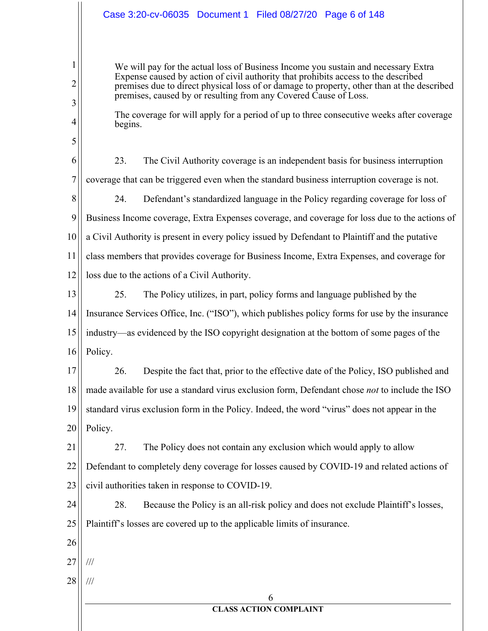# Case 3:20-cv-06035 Document 1 Filed 08/27/20 Page 6 of 148

We will pay for the actual loss of Business Income you sustain and necessary Extra Expense caused by action of civil authority that prohibits access to the described premises due to direct physical loss of or damage to property, other than at the described premises, caused by or resulting from any Covered Cause of Loss.

The coverage for will apply for a period of up to three consecutive weeks after coverage begins.

6 23. The Civil Authority coverage is an independent basis for business interruption  $\tau$ coverage that can be triggered even when the standard business interruption coverage is not.

8 24. Defendant's standardized language in the Policy regarding coverage for loss of 9 Business Income coverage, Extra Expenses coverage, and coverage for loss due to the actions of 10 a Civil Authority is present in every policy issued by Defendant to Plaintiff and the putative 11 class members that provides coverage for Business Income, Extra Expenses, and coverage for 12 loss due to the actions of a Civil Authority.

13 25. The Policy utilizes, in part, policy forms and language published by the 14 Insurance Services Office, Inc. ("ISO"), which publishes policy forms for use by the insurance 15 industry—as evidenced by the ISO copyright designation at the bottom of some pages of the 16 Policy.

17 26. Despite the fact that, prior to the effective date of the Policy, ISO published and made available for use a standard virus exclusion form, Defendant chose not to include the ISO 18 19 standard virus exclusion form in the Policy. Indeed, the word "virus" does not appear in the 20 Policy.

21 27. The Policy does not contain any exclusion which would apply to allow 22 Defendant to completely deny coverage for losses caused by COVID-19 and related actions of 23 civil authorities taken in response to COVID-19.

24 28. Because the Policy is an all-risk policy and does not exclude Plaintiff's losses, 25 Plaintiff's losses are covered up to the applicable limits of insurance.

26

 $\mathbf{1}$ 

 $\overline{2}$ 

3

 $\overline{4}$ 

5

- 27  $\frac{1}{1}$
- 28  $\frac{1}{1}$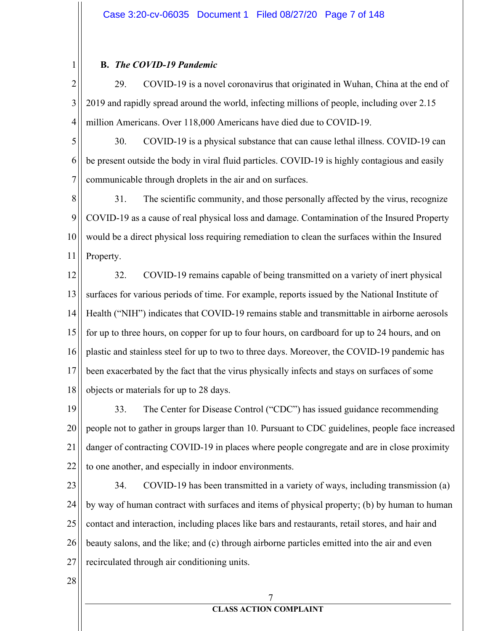#### **B.** The COVID-19 Pandemic

 $\mathbf{1}$ 

 $\overline{2}$ 29. COVID-19 is a novel coronavirus that originated in Wuhan, China at the end of 3 2019 and rapidly spread around the world, infecting millions of people, including over 2.15 4 million Americans. Over 118,000 Americans have died due to COVID-19.

5 30. COVID-19 is a physical substance that can cause lethal illness. COVID-19 can 6 be present outside the body in viral fluid particles. COVID-19 is highly contagious and easily  $\tau$ communicable through droplets in the air and on surfaces.

8 31. The scientific community, and those personally affected by the virus, recognize 9 COVID-19 as a cause of real physical loss and damage. Contamination of the Insured Property 10 would be a direct physical loss requiring remediation to clean the surfaces within the Insured 11 Property.

12 32. COVID-19 remains capable of being transmitted on a variety of inert physical 13 surfaces for various periods of time. For example, reports issued by the National Institute of 14 Health ("NIH") indicates that COVID-19 remains stable and transmittable in airborne aerosols 15 for up to three hours, on copper for up to four hours, on cardboard for up to 24 hours, and on 16 plastic and stainless steel for up to two to three days. Moreover, the COVID-19 pandemic has 17 been exacerbated by the fact that the virus physically infects and stays on surfaces of some 18 objects or materials for up to 28 days.

19 33. The Center for Disease Control ("CDC") has issued guidance recommending 20 people not to gather in groups larger than 10. Pursuant to CDC guidelines, people face increased 21 danger of contracting COVID-19 in places where people congregate and are in close proximity 22 to one another, and especially in indoor environments.

23 34. COVID-19 has been transmitted in a variety of ways, including transmission (a) 24 by way of human contract with surfaces and items of physical property; (b) by human to human 25 contact and interaction, including places like bars and restaurants, retail stores, and hair and 26 beauty salons, and the like; and (c) through airborne particles emitted into the air and even 27 recirculated through air conditioning units.

28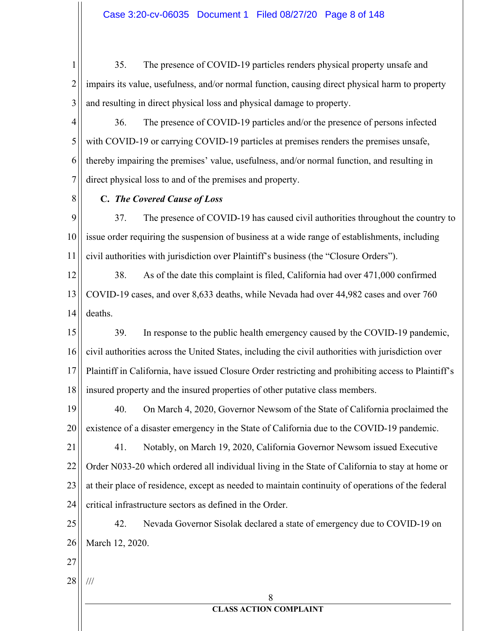$\mathbf{1}$ 35. The presence of COVID-19 particles renders physical property unsafe and  $\overline{2}$ impairs its value, usefulness, and/or normal function, causing direct physical harm to property 3 and resulting in direct physical loss and physical damage to property.

4 36. The presence of COVID-19 particles and/or the presence of persons infected 5 with COVID-19 or carrying COVID-19 particles at premises renders the premises unsafe, thereby impairing the premises' value, usefulness, and/or normal function, and resulting in 6 7 direct physical loss to and of the premises and property.

8

# C. The Covered Cause of Loss

9 37. The presence of COVID-19 has caused civil authorities throughout the country to issue order requiring the suspension of business at a wide range of establishments, including 10 11 civil authorities with jurisdiction over Plaintiff's business (the "Closure Orders").

12 38. As of the date this complaint is filed, California had over 471,000 confirmed COVID-19 cases, and over 8,633 deaths, while Nevada had over 44,982 cases and over 760 13 14 deaths.

15 39. In response to the public health emergency caused by the COVID-19 pandemic, civil authorities across the United States, including the civil authorities with jurisdiction over 16 17 Plaintiff in California, have issued Closure Order restricting and prohibiting access to Plaintiff's 18 insured property and the insured properties of other putative class members.

40. 19 On March 4, 2020, Governor Newsom of the State of California proclaimed the 20 existence of a disaster emergency in the State of California due to the COVID-19 pandemic.

21 41. Notably, on March 19, 2020, California Governor Newsom issued Executive 22 Order N033-20 which ordered all individual living in the State of California to stay at home or 23 at their place of residence, except as needed to maintain continuity of operations of the federal 24 critical infrastructure sectors as defined in the Order.

25 Nevada Governor Sisolak declared a state of emergency due to COVID-19 on 42. 26 March 12, 2020.

- 27
- 28  $/ \! / \! /$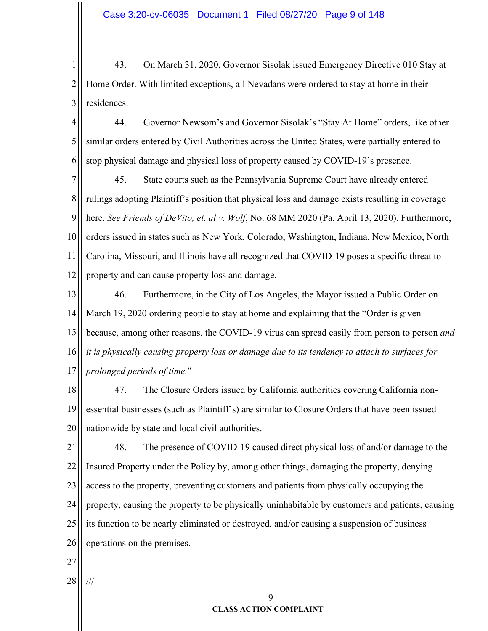$\mathbf{1}$ 43. On March 31, 2020, Governor Sisolak issued Emergency Directive 010 Stay at  $\overline{2}$ Home Order. With limited exceptions, all Nevadans were ordered to stay at home in their residences. 3

4 44. Governor Newsom's and Governor Sisolak's "Stay At Home" orders, like other 5 similar orders entered by Civil Authorities across the United States, were partially entered to 6 stop physical damage and physical loss of property caused by COVID-19's presence.

7 45. State courts such as the Pennsylvania Supreme Court have already entered 8 rulings adopting Plaintiff's position that physical loss and damage exists resulting in coverage 9 here. See Friends of DeVito, et. al v. Wolf, No. 68 MM 2020 (Pa. April 13, 2020). Furthermore, 10 orders issued in states such as New York, Colorado, Washington, Indiana, New Mexico, North 11 Carolina, Missouri, and Illinois have all recognized that COVID-19 poses a specific threat to 12 property and can cause property loss and damage.

13 46. Furthermore, in the City of Los Angeles, the Mayor issued a Public Order on 14 March 19, 2020 ordering people to stay at home and explaining that the "Order is given 15 because, among other reasons, the COVID-19 virus can spread easily from person to person and 16 it is physically causing property loss or damage due to its tendency to attach to surfaces for prolonged periods of time." 17

47. 18 The Closure Orders issued by California authorities covering California non-19 essential businesses (such as Plaintiff's) are similar to Closure Orders that have been issued 20 nationwide by state and local civil authorities.

21 48. The presence of COVID-19 caused direct physical loss of and/or damage to the 22 Insured Property under the Policy by, among other things, damaging the property, denying 23 access to the property, preventing customers and patients from physically occupying the property, causing the property to be physically uninhabitable by customers and patients, causing 24 25 its function to be nearly eliminated or destroyed, and/or causing a suspension of business 26 operations on the premises.

- $27$
- 28  $\frac{1}{1}$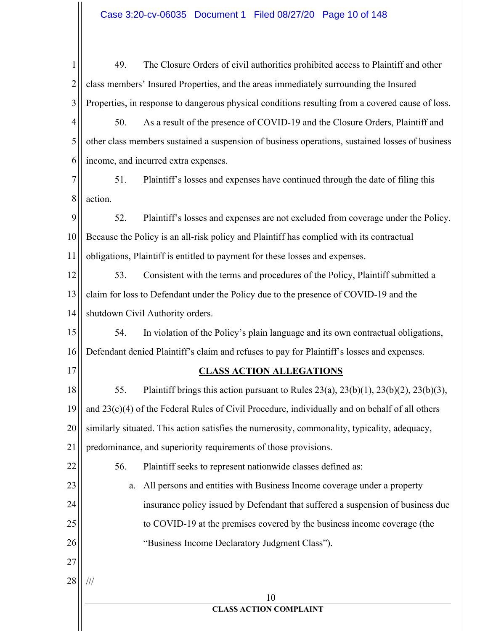| $\mathbf{1}$   | 49.<br>The Closure Orders of civil authorities prohibited access to Plaintiff and other                |
|----------------|--------------------------------------------------------------------------------------------------------|
| $\overline{2}$ | class members' Insured Properties, and the areas immediately surrounding the Insured                   |
| 3              | Properties, in response to dangerous physical conditions resulting from a covered cause of loss.       |
| 4              | As a result of the presence of COVID-19 and the Closure Orders, Plaintiff and<br>50.                   |
| 5              | other class members sustained a suspension of business operations, sustained losses of business        |
| 6              | income, and incurred extra expenses.                                                                   |
| 7              | 51.<br>Plaintiff's losses and expenses have continued through the date of filing this                  |
| 8              | action.                                                                                                |
| 9              | 52.<br>Plaintiff's losses and expenses are not excluded from coverage under the Policy.                |
| 10             | Because the Policy is an all-risk policy and Plaintiff has complied with its contractual               |
| 11             | obligations, Plaintiff is entitled to payment for these losses and expenses.                           |
| 12             | 53.<br>Consistent with the terms and procedures of the Policy, Plaintiff submitted a                   |
| 13             | claim for loss to Defendant under the Policy due to the presence of COVID-19 and the                   |
| 14             | shutdown Civil Authority orders.                                                                       |
| 15             | In violation of the Policy's plain language and its own contractual obligations,<br>54.                |
| 16             | Defendant denied Plaintiff's claim and refuses to pay for Plaintiff's losses and expenses.             |
| 17             | <b>CLASS ACTION ALLEGATIONS</b>                                                                        |
| 18             | 55.<br>Plaintiff brings this action pursuant to Rules $23(a)$ , $23(b)(1)$ , $23(b)(2)$ , $23(b)(3)$ , |
| 19             | and 23(c)(4) of the Federal Rules of Civil Procedure, individually and on behalf of all others         |
| 20             | similarly situated. This action satisfies the numerosity, commonality, typicality, adequacy,           |
| 21             | predominance, and superiority requirements of those provisions.                                        |
| 22             | 56.<br>Plaintiff seeks to represent nationwide classes defined as:                                     |
| 23             | All persons and entities with Business Income coverage under a property<br>a.                          |
| 24             | insurance policy issued by Defendant that suffered a suspension of business due                        |
| 25             | to COVID-19 at the premises covered by the business income coverage (the                               |
| 26             | "Business Income Declaratory Judgment Class").                                                         |
| 27             |                                                                                                        |
| 28             | ///                                                                                                    |
|                | 10<br><b>CLASS ACTION COMPLAINT</b>                                                                    |
|                |                                                                                                        |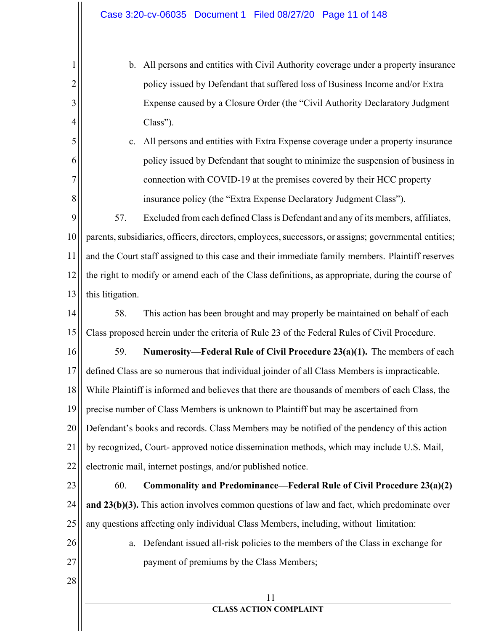b. All persons and entities with Civil Authority coverage under a property insurance policy issued by Defendant that suffered loss of Business Income and/or Extra Expense caused by a Closure Order (the "Civil Authority Declaratory Judgment  $Class$ "). c. All persons and entities with Extra Expense coverage under a property insurance policy issued by Defendant that sought to minimize the suspension of business in connection with COVID-19 at the premises covered by their HCC property insurance policy (the "Extra Expense Declaratory Judgment Class"). 57. Excluded from each defined Class is Defendant and any of its members, affiliates,

parents, subsidiaries, officers, directors, employees, successors, or assigns; governmental entities; 10 11 and the Court staff assigned to this case and their immediate family members. Plaintiff reserves 12 the right to modify or amend each of the Class definitions, as appropriate, during the course of 13 this litigation.

14 58. This action has been brought and may properly be maintained on behalf of each Class proposed herein under the criteria of Rule 23 of the Federal Rules of Civil Procedure. 15

16 59. Numerosity—Federal Rule of Civil Procedure 23(a)(1). The members of each defined Class are so numerous that individual joinder of all Class Members is impracticable. 17 While Plaintiff is informed and believes that there are thousands of members of each Class, the 18 19 precise number of Class Members is unknown to Plaintiff but may be ascertained from 20 Defendant's books and records. Class Members may be notified of the pendency of this action 21 by recognized, Court- approved notice dissemination methods, which may include U.S. Mail, 22 electronic mail, internet postings, and/or published notice.

- 23 60. Commonality and Predominance—Federal Rule of Civil Procedure 23(a)(2) 24 and  $23(b)(3)$ . This action involves common questions of law and fact, which predominate over 25 any questions affecting only individual Class Members, including, without limitation:
- 26

 $\mathbf{1}$ 

 $\overline{2}$ 

3

4

5

6

 $\overline{7}$ 

8

9

a. Defendant issued all-risk policies to the members of the Class in exchange for payment of premiums by the Class Members;

28

27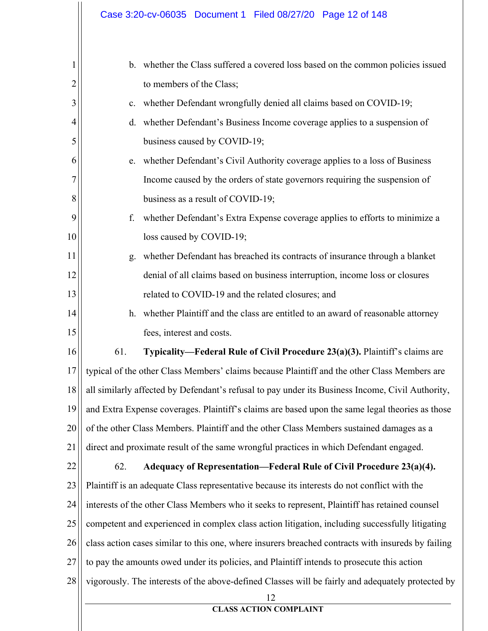| $\mathbf{1}$ | $\mathbf{b}$ . | whether the Class suffered a covered loss based on the common policies issued                      |
|--------------|----------------|----------------------------------------------------------------------------------------------------|
| 2            |                | to members of the Class;                                                                           |
| 3            | c.             | whether Defendant wrongfully denied all claims based on COVID-19;                                  |
| 4            | d.             | whether Defendant's Business Income coverage applies to a suspension of                            |
| 5            |                | business caused by COVID-19;                                                                       |
| 6            | e.             | whether Defendant's Civil Authority coverage applies to a loss of Business                         |
| 7            |                | Income caused by the orders of state governors requiring the suspension of                         |
| 8            |                | business as a result of COVID-19;                                                                  |
| 9            | f.             | whether Defendant's Extra Expense coverage applies to efforts to minimize a                        |
| 10           |                | loss caused by COVID-19;                                                                           |
| 11           | g.             | whether Defendant has breached its contracts of insurance through a blanket                        |
| 12           |                | denial of all claims based on business interruption, income loss or closures                       |
| 13           |                | related to COVID-19 and the related closures; and                                                  |
| 14           | h.             | whether Plaintiff and the class are entitled to an award of reasonable attorney                    |
| 15           |                | fees, interest and costs.                                                                          |
| 16           | 61.            | Typicality-Federal Rule of Civil Procedure 23(a)(3). Plaintiff's claims are                        |
| 17           |                | typical of the other Class Members' claims because Plaintiff and the other Class Members are       |
| 18           |                | all similarly affected by Defendant's refusal to pay under its Business Income, Civil Authority,   |
| 19           |                | and Extra Expense coverages. Plaintiff's claims are based upon the same legal theories as those    |
| 20           |                | of the other Class Members. Plaintiff and the other Class Members sustained damages as a           |
| 21           |                | direct and proximate result of the same wrongful practices in which Defendant engaged.             |
| 22           | 62.            | Adequacy of Representation—Federal Rule of Civil Procedure 23(a)(4).                               |
| 23           |                | Plaintiff is an adequate Class representative because its interests do not conflict with the       |
| 24           |                | interests of the other Class Members who it seeks to represent, Plaintiff has retained counsel     |
| 25           |                | competent and experienced in complex class action litigation, including successfully litigating    |
| 26           |                | class action cases similar to this one, where insurers breached contracts with insureds by failing |
| 27           |                | to pay the amounts owed under its policies, and Plaintiff intends to prosecute this action         |
| 28           |                | vigorously. The interests of the above-defined Classes will be fairly and adequately protected by  |
|              |                | 12<br><b>CLASS ACTION COMPLAINT</b>                                                                |
|              |                |                                                                                                    |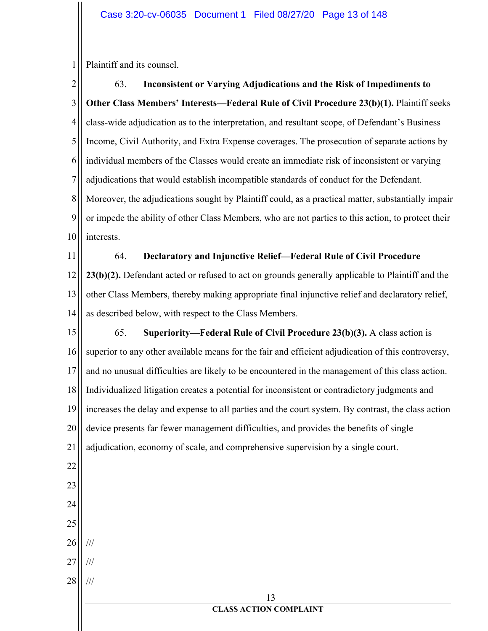$\mathbf{1}$ Plaintiff and its counsel.

 $\overline{2}$ 63. Inconsistent or Varying Adjudications and the Risk of Impediments to 3 **Other Class Members' Interests—Federal Rule of Civil Procedure 23(b)(1).** Plaintiff seeks 4 class-wide adjudication as to the interpretation, and resultant scope, of Defendant's Business 5 Income, Civil Authority, and Extra Expense coverages. The prosecution of separate actions by individual members of the Classes would create an immediate risk of inconsistent or varying 6 7 adjudications that would establish incompatible standards of conduct for the Defendant. 8 Moreover, the adjudications sought by Plaintiff could, as a practical matter, substantially impair 9 or impede the ability of other Class Members, who are not parties to this action, to protect their 10 interests.

64. 11 Declaratory and Injunctive Relief-Federal Rule of Civil Procedure 12 23(b)(2). Defendant acted or refused to act on grounds generally applicable to Plaintiff and the 13 other Class Members, thereby making appropriate final injunctive relief and declaratory relief, 14 as described below, with respect to the Class Members.

15 65. Superiority—Federal Rule of Civil Procedure  $23(b)(3)$ . A class action is superior to any other available means for the fair and efficient adjudication of this controversy, 16 17 and no unusual difficulties are likely to be encountered in the management of this class action. 18 Individualized litigation creates a potential for inconsistent or contradictory judgments and 19 increases the delay and expense to all parties and the court system. By contrast, the class action 20 device presents far fewer management difficulties, and provides the benefits of single 21 adjudication, economy of scale, and comprehensive supervision by a single court. 22 23

24

- 25 26  $\frac{1}{1}$
- $27$  $\frac{1}{1}$
- 28  $\frac{1}{1}$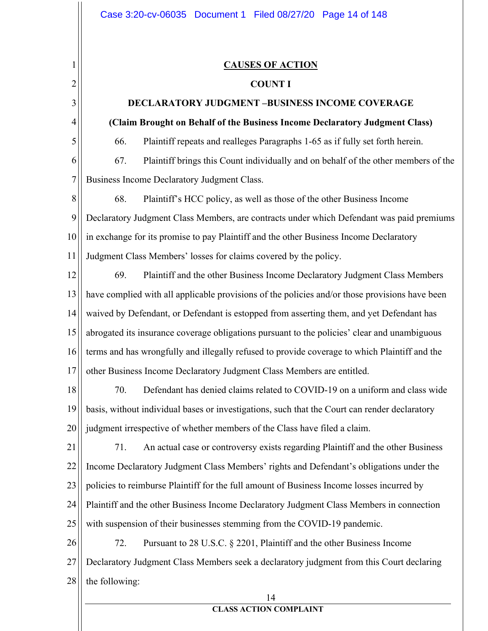$\mathbf{1}$ 

 $\overline{2}$ 

3

4

5

# **CAUSES OF ACTION**

#### **COUNT I**

# **DECLARATORY JUDGMENT -BUSINESS INCOME COVERAGE**

## (Claim Brought on Behalf of the Business Income Declaratory Judgment Class)

66. Plaintiff repeats and realleges Paragraphs 1-65 as if fully set forth herein.

6 67. Plaintiff brings this Count individually and on behalf of the other members of the  $\tau$ Business Income Declaratory Judgment Class.

8 68. Plaintiff's HCC policy, as well as those of the other Business Income 9 Declaratory Judgment Class Members, are contracts under which Defendant was paid premiums 10 in exchange for its promise to pay Plaintiff and the other Business Income Declaratory 11 Judgment Class Members' losses for claims covered by the policy.

12 69. Plaintiff and the other Business Income Declaratory Judgment Class Members have complied with all applicable provisions of the policies and/or those provisions have been 13 14 waived by Defendant, or Defendant is estopped from asserting them, and yet Defendant has 15 abrogated its insurance coverage obligations pursuant to the policies' clear and unambiguous 16 terms and has wrongfully and illegally refused to provide coverage to which Plaintiff and the 17 other Business Income Declaratory Judgment Class Members are entitled.

70. Defendant has denied claims related to COVID-19 on a uniform and class wide 18 19 basis, without individual bases or investigations, such that the Court can render declaratory 20 judgment irrespective of whether members of the Class have filed a claim.

21 71. An actual case or controversy exists regarding Plaintiff and the other Business 22 Income Declaratory Judgment Class Members' rights and Defendant's obligations under the 23 policies to reimburse Plaintiff for the full amount of Business Income losses incurred by 24 Plaintiff and the other Business Income Declaratory Judgment Class Members in connection 25 with suspension of their businesses stemming from the COVID-19 pandemic.

26 72. Pursuant to 28 U.S.C. § 2201, Plaintiff and the other Business Income 27 Declaratory Judgment Class Members seek a declaratory judgment from this Court declaring 28 the following:

#### 14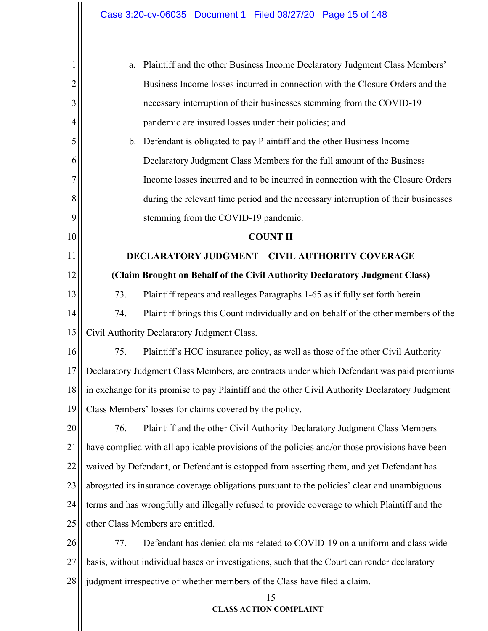|    | Plaintiff and the other Business Income Declaratory Judgment Class Members'<br>a.               |
|----|-------------------------------------------------------------------------------------------------|
| 2  | Business Income losses incurred in connection with the Closure Orders and the                   |
| 3  | necessary interruption of their businesses stemming from the COVID-19                           |
| 4  | pandemic are insured losses under their policies; and                                           |
| 5  | Defendant is obligated to pay Plaintiff and the other Business Income<br>b.                     |
| 6  | Declaratory Judgment Class Members for the full amount of the Business                          |
| 7  | Income losses incurred and to be incurred in connection with the Closure Orders                 |
| 8  | during the relevant time period and the necessary interruption of their businesses              |
| 9  | stemming from the COVID-19 pandemic.                                                            |
| 10 | <b>COUNT II</b>                                                                                 |
| 11 | <b>DECLARATORY JUDGMENT - CIVIL AUTHORITY COVERAGE</b>                                          |
| 12 | (Claim Brought on Behalf of the Civil Authority Declaratory Judgment Class)                     |
| 13 | 73.<br>Plaintiff repeats and realleges Paragraphs 1-65 as if fully set forth herein.            |
| 14 | 74.<br>Plaintiff brings this Count individually and on behalf of the other members of the       |
| 15 | Civil Authority Declaratory Judgment Class.                                                     |
| 16 | 75.<br>Plaintiff's HCC insurance policy, as well as those of the other Civil Authority          |
| 17 | Declaratory Judgment Class Members, are contracts under which Defendant was paid premiums       |
| 18 | in exchange for its promise to pay Plaintiff and the other Civil Authority Declaratory Judgment |
| 19 | Class Members' losses for claims covered by the policy.                                         |
| 20 | 76.<br>Plaintiff and the other Civil Authority Declaratory Judgment Class Members               |
| 21 | have complied with all applicable provisions of the policies and/or those provisions have been  |
| 22 | waived by Defendant, or Defendant is estopped from asserting them, and yet Defendant has        |
| 23 | abrogated its insurance coverage obligations pursuant to the policies' clear and unambiguous    |
| 24 | terms and has wrongfully and illegally refused to provide coverage to which Plaintiff and the   |
| 25 | other Class Members are entitled.                                                               |
| 26 | Defendant has denied claims related to COVID-19 on a uniform and class wide<br>77.              |
| 27 | basis, without individual bases or investigations, such that the Court can render declaratory   |
| 28 | judgment irrespective of whether members of the Class have filed a claim.                       |
|    | 15<br><b>CLASS ACTION COMPLAINT</b>                                                             |
|    |                                                                                                 |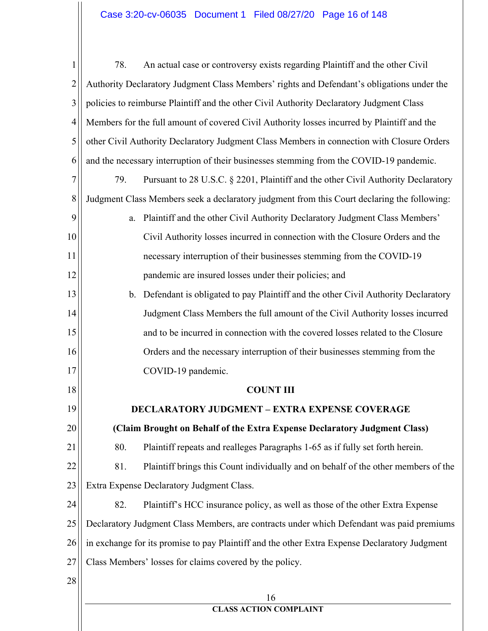# Case 3:20-cv-06035 Document 1 Filed 08/27/20 Page 16 of 148

| 1              | 78. | An actual case or controversy exists regarding Plaintiff and the other Civil                  |
|----------------|-----|-----------------------------------------------------------------------------------------------|
| $\overline{2}$ |     | Authority Declaratory Judgment Class Members' rights and Defendant's obligations under the    |
| 3              |     | policies to reimburse Plaintiff and the other Civil Authority Declaratory Judgment Class      |
| 4              |     | Members for the full amount of covered Civil Authority losses incurred by Plaintiff and the   |
| 5              |     | other Civil Authority Declaratory Judgment Class Members in connection with Closure Orders    |
| 6              |     | and the necessary interruption of their businesses stemming from the COVID-19 pandemic.       |
| 7              | 79. | Pursuant to 28 U.S.C. § 2201, Plaintiff and the other Civil Authority Declaratory             |
| 8              |     | Judgment Class Members seek a declaratory judgment from this Court declaring the following:   |
| 9              | a.  | Plaintiff and the other Civil Authority Declaratory Judgment Class Members'                   |
| 10             |     | Civil Authority losses incurred in connection with the Closure Orders and the                 |
| 11             |     | necessary interruption of their businesses stemming from the COVID-19                         |
| 12             |     | pandemic are insured losses under their policies; and                                         |
| 13             |     | b. Defendant is obligated to pay Plaintiff and the other Civil Authority Declaratory          |
| 14             |     | Judgment Class Members the full amount of the Civil Authority losses incurred                 |
| 15             |     | and to be incurred in connection with the covered losses related to the Closure               |
| 16             |     | Orders and the necessary interruption of their businesses stemming from the                   |
| 17             |     | COVID-19 pandemic.                                                                            |
| 18             |     | <b>COUNT III</b>                                                                              |
| 19             |     | <b>DECLARATORY JUDGMENT – EXTRA EXPENSE COVERAGE</b>                                          |
| 20             |     | (Claim Brought on Behalf of the Extra Expense Declaratory Judgment Class)                     |
| 21             | 80. | Plaintiff repeats and realleges Paragraphs 1-65 as if fully set forth herein.                 |
| 22             | 81. | Plaintiff brings this Count individually and on behalf of the other members of the            |
| 23             |     | Extra Expense Declaratory Judgment Class.                                                     |
| 24             | 82. | Plaintiff's HCC insurance policy, as well as those of the other Extra Expense                 |
| 25             |     | Declaratory Judgment Class Members, are contracts under which Defendant was paid premiums     |
| 26             |     | in exchange for its promise to pay Plaintiff and the other Extra Expense Declaratory Judgment |
| 27             |     | Class Members' losses for claims covered by the policy.                                       |
| 28             |     |                                                                                               |
|                |     | 16<br><b>CLASS ACTION COMPLAINT</b>                                                           |
|                |     |                                                                                               |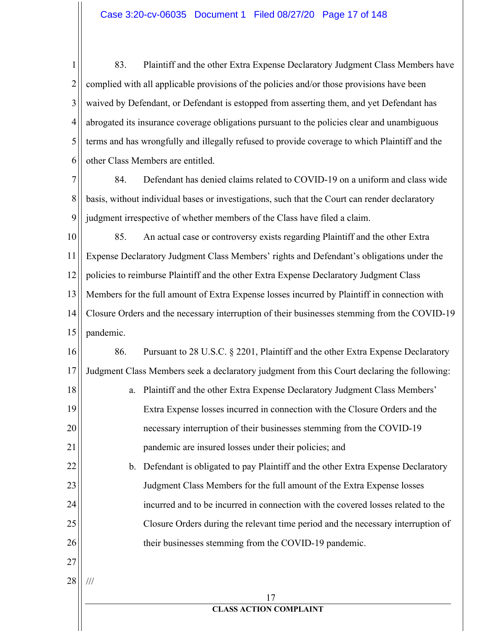$\mathbf{1}$ 83. Plaintiff and the other Extra Expense Declaratory Judgment Class Members have  $\overline{2}$ complied with all applicable provisions of the policies and/or those provisions have been 3 waived by Defendant, or Defendant is estopped from asserting them, and yet Defendant has 4 abrogated its insurance coverage obligations pursuant to the policies clear and unambiguous 5 terms and has wrongfully and illegally refused to provide coverage to which Plaintiff and the other Class Members are entitled. 6

7 84. Defendant has denied claims related to COVID-19 on a uniform and class wide 8 basis, without individual bases or investigations, such that the Court can render declaratory 9 judgment irrespective of whether members of the Class have filed a claim.

10 85. An actual case or controversy exists regarding Plaintiff and the other Extra Expense Declaratory Judgment Class Members' rights and Defendant's obligations under the 11 12 policies to reimburse Plaintiff and the other Extra Expense Declaratory Judgment Class 13 Members for the full amount of Extra Expense losses incurred by Plaintiff in connection with 14 Closure Orders and the necessary interruption of their businesses stemming from the COVID-19 15 pandemic.

16 86. Pursuant to 28 U.S.C. § 2201, Plaintiff and the other Extra Expense Declaratory Judgment Class Members seek a declaratory judgment from this Court declaring the following: 17 18 a. Plaintiff and the other Extra Expense Declaratory Judgment Class Members' 19 Extra Expense losses incurred in connection with the Closure Orders and the

> necessary interruption of their businesses stemming from the COVID-19 pandemic are insured losses under their policies; and

b. Defendant is obligated to pay Plaintiff and the other Extra Expense Declaratory Judgment Class Members for the full amount of the Extra Expense losses incurred and to be incurred in connection with the covered losses related to the Closure Orders during the relevant time period and the necessary interruption of their businesses stemming from the COVID-19 pandemic.

27 28

 $\frac{1}{1}$ 

20

21

22

23

24

25

26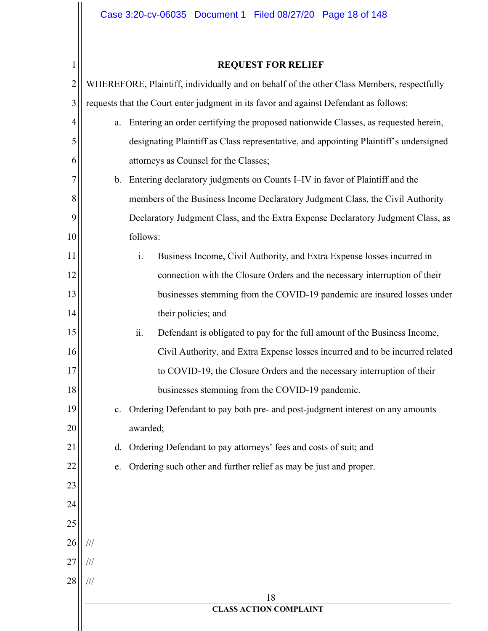# Case 3:20-cv-06035 Document 1 Filed 08/27/20 Page 18 of 148

 $1$ 

# **REQUEST FOR RELIEF**

| $\overline{2}$ |                | WHEREFORE, Plaintiff, individually and on behalf of the other Class Members, respectfully |
|----------------|----------------|-------------------------------------------------------------------------------------------|
| 3              |                | requests that the Court enter judgment in its favor and against Defendant as follows:     |
| 4              | a.             | Entering an order certifying the proposed nationwide Classes, as requested herein,        |
| 5              |                | designating Plaintiff as Class representative, and appointing Plaintiff's undersigned     |
| 6              |                | attorneys as Counsel for the Classes;                                                     |
| 7              | $\mathbf{b}$ . | Entering declaratory judgments on Counts I–IV in favor of Plaintiff and the               |
| 8              |                | members of the Business Income Declaratory Judgment Class, the Civil Authority            |
| 9              |                | Declaratory Judgment Class, and the Extra Expense Declaratory Judgment Class, as          |
| 10             |                | follows:                                                                                  |
| 11             |                | i.<br>Business Income, Civil Authority, and Extra Expense losses incurred in              |
| 12             |                | connection with the Closure Orders and the necessary interruption of their                |
| 13             |                | businesses stemming from the COVID-19 pandemic are insured losses under                   |
| 14             |                | their policies; and                                                                       |
| 15             |                | ii.<br>Defendant is obligated to pay for the full amount of the Business Income,          |
| 16             |                | Civil Authority, and Extra Expense losses incurred and to be incurred related             |
| 17             |                | to COVID-19, the Closure Orders and the necessary interruption of their                   |
| 18             |                | businesses stemming from the COVID-19 pandemic.                                           |
| 19             | c.             | Ordering Defendant to pay both pre- and post-judgment interest on any amounts             |
| 20             |                | awarded;                                                                                  |
| 21             | d.             | Ordering Defendant to pay attorneys' fees and costs of suit; and                          |
| 22             | e.             | Ordering such other and further relief as may be just and proper.                         |
| 23             |                |                                                                                           |
| 24             |                |                                                                                           |
| 25             |                |                                                                                           |
| 26             | $/ \! / \! /$  |                                                                                           |
| 27             | $/ \! / \! /$  |                                                                                           |
| 28             | $/\!/ \!/$     |                                                                                           |
|                |                | 18<br><b>CLASS ACTION COMPLAINT</b>                                                       |
|                |                |                                                                                           |